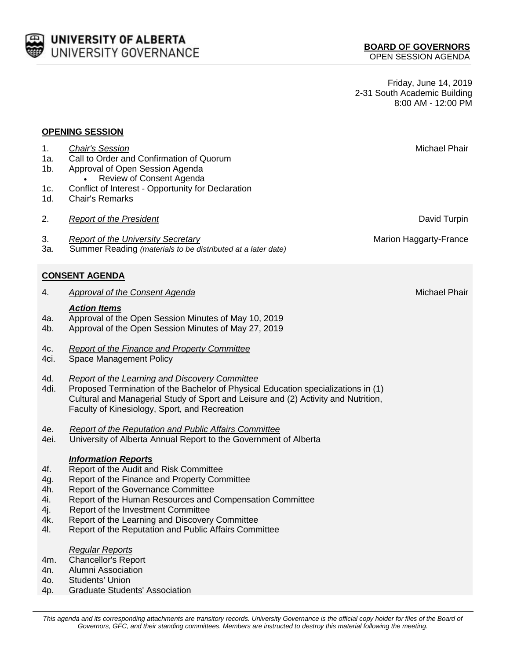

Friday, June 14, 2019 2-31 South Academic Building 8:00 AM - 12:00 PM

## **OPENING SESSION**

| 1.<br>1a.<br>$1b$ .<br>1c.<br>1d.                                                                                                                                                                                                                                          | <b>Chair's Session</b><br>Call to Order and Confirmation of Quorum<br>Approval of Open Session Agenda<br>Review of Consent Agenda<br>Conflict of Interest - Opportunity for Declaration<br><b>Chair's Remarks</b>                                                                                                                                                       | Michael Phair          |  |
|----------------------------------------------------------------------------------------------------------------------------------------------------------------------------------------------------------------------------------------------------------------------------|-------------------------------------------------------------------------------------------------------------------------------------------------------------------------------------------------------------------------------------------------------------------------------------------------------------------------------------------------------------------------|------------------------|--|
| 2.                                                                                                                                                                                                                                                                         | <b>Report of the President</b>                                                                                                                                                                                                                                                                                                                                          | David Turpin           |  |
| 3.<br>За.                                                                                                                                                                                                                                                                  | <b>Report of the University Secretary</b><br>Summer Reading (materials to be distributed at a later date)                                                                                                                                                                                                                                                               | Marion Haggarty-France |  |
|                                                                                                                                                                                                                                                                            | <b>CONSENT AGENDA</b>                                                                                                                                                                                                                                                                                                                                                   |                        |  |
| 4.                                                                                                                                                                                                                                                                         | <b>Approval of the Consent Agenda</b>                                                                                                                                                                                                                                                                                                                                   | Michael Phair          |  |
| 4a.<br>4b.                                                                                                                                                                                                                                                                 | <b>Action Items</b><br>Approval of the Open Session Minutes of May 10, 2019<br>Approval of the Open Session Minutes of May 27, 2019                                                                                                                                                                                                                                     |                        |  |
| 4c.<br>4ci.                                                                                                                                                                                                                                                                | <b>Report of the Finance and Property Committee</b><br><b>Space Management Policy</b>                                                                                                                                                                                                                                                                                   |                        |  |
| 4d.<br>4di.                                                                                                                                                                                                                                                                | Report of the Learning and Discovery Committee<br>Proposed Termination of the Bachelor of Physical Education specializations in (1)<br>Cultural and Managerial Study of Sport and Leisure and (2) Activity and Nutrition,<br>Faculty of Kinesiology, Sport, and Recreation                                                                                              |                        |  |
| 4e.<br>4ei.                                                                                                                                                                                                                                                                | Report of the Reputation and Public Affairs Committee<br>University of Alberta Annual Report to the Government of Alberta                                                                                                                                                                                                                                               |                        |  |
| 4f.<br>4g.<br>4h.<br>4i.<br>4j.<br>4k.<br>4I.                                                                                                                                                                                                                              | <b>Information Reports</b><br>Report of the Audit and Risk Committee<br>Report of the Finance and Property Committee<br>Report of the Governance Committee<br>Report of the Human Resources and Compensation Committee<br>Report of the Investment Committee<br>Report of the Learning and Discovery Committee<br>Report of the Reputation and Public Affairs Committee |                        |  |
| 4m.<br>4n.<br>4o.<br>4p.                                                                                                                                                                                                                                                   | <b>Regular Reports</b><br><b>Chancellor's Report</b><br>Alumni Association<br><b>Students' Union</b><br><b>Graduate Students' Association</b>                                                                                                                                                                                                                           |                        |  |
|                                                                                                                                                                                                                                                                            |                                                                                                                                                                                                                                                                                                                                                                         |                        |  |
| This agenda and its corresponding attachments are transitory records. University Governance is the official copy holder for files of the Board of<br>Governors, GFC, and their standing committees. Members are instructed to destroy this material following the meeting. |                                                                                                                                                                                                                                                                                                                                                                         |                        |  |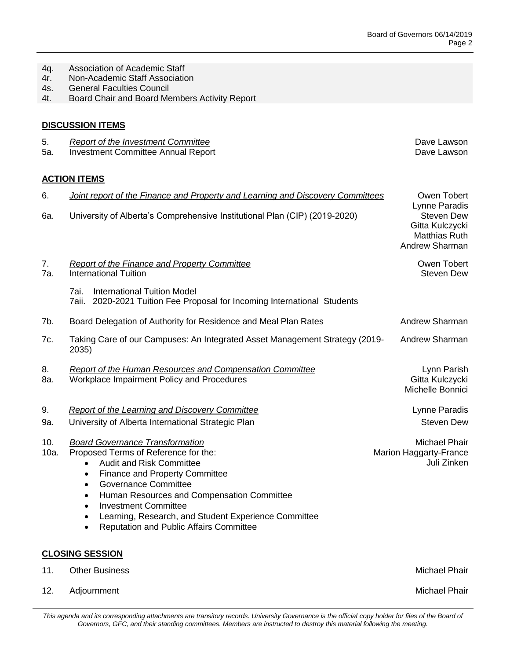5. *Report of the Investment Committee* Dave Lawson

- 4q. Association of Academic Staff
- 4r. Non-Academic Staff Association
- 4s. General Faculties Council
- 4t. Board Chair and Board Members Activity Report

## **DISCUSSION ITEMS**

| 5. | Report of the Investment Committee |
|----|------------------------------------|
|----|------------------------------------|

5a. Investment Committee Annual Report **Dave Lawson** Dave Lawson

## **ACTION ITEMS**

| 6.          | <b>Joint report of the Finance and Property and Learning and Discovery Committees</b>                                                                                                                                                                                                                                                                                                                                                             | Owen Tobert                                                                              |
|-------------|---------------------------------------------------------------------------------------------------------------------------------------------------------------------------------------------------------------------------------------------------------------------------------------------------------------------------------------------------------------------------------------------------------------------------------------------------|------------------------------------------------------------------------------------------|
| 6a.         | University of Alberta's Comprehensive Institutional Plan (CIP) (2019-2020)                                                                                                                                                                                                                                                                                                                                                                        | Lynne Paradis<br><b>Steven Dew</b><br>Gitta Kulczycki<br>Matthias Ruth<br>Andrew Sharman |
| 7.<br>7a.   | <b>Report of the Finance and Property Committee</b><br><b>International Tuition</b>                                                                                                                                                                                                                                                                                                                                                               | Owen Tobert<br><b>Steven Dew</b>                                                         |
|             | 7ai.<br><b>International Tuition Model</b><br>7aii. 2020-2021 Tuition Fee Proposal for Incoming International Students                                                                                                                                                                                                                                                                                                                            |                                                                                          |
| 7b.         | Board Delegation of Authority for Residence and Meal Plan Rates                                                                                                                                                                                                                                                                                                                                                                                   | Andrew Sharman                                                                           |
| 7c.         | Taking Care of our Campuses: An Integrated Asset Management Strategy (2019-<br>2035)                                                                                                                                                                                                                                                                                                                                                              | Andrew Sharman                                                                           |
| 8.<br>8a.   | <b>Report of the Human Resources and Compensation Committee</b><br>Workplace Impairment Policy and Procedures                                                                                                                                                                                                                                                                                                                                     | Lynn Parish<br>Gitta Kulczycki<br>Michelle Bonnici                                       |
| 9.<br>9a.   | <b>Report of the Learning and Discovery Committee</b><br>University of Alberta International Strategic Plan                                                                                                                                                                                                                                                                                                                                       | Lynne Paradis<br><b>Steven Dew</b>                                                       |
| 10.<br>10a. | <b>Board Governance Transformation</b><br>Proposed Terms of Reference for the:<br><b>Audit and Risk Committee</b><br>$\bullet$<br><b>Finance and Property Committee</b><br>$\bullet$<br><b>Governance Committee</b><br>$\bullet$<br>Human Resources and Compensation Committee<br>$\bullet$<br><b>Investment Committee</b><br>$\bullet$<br>Learning, Research, and Student Experience Committee<br><b>Reputation and Public Affairs Committee</b> | Michael Phair<br>Marion Haggarty-France<br>Juli Zinken                                   |
|             | <b>CLOSING SESSION</b>                                                                                                                                                                                                                                                                                                                                                                                                                            |                                                                                          |
| 11.         | <b>Other Business</b>                                                                                                                                                                                                                                                                                                                                                                                                                             | <b>Michael Phair</b>                                                                     |
| 12.         | Adjournment                                                                                                                                                                                                                                                                                                                                                                                                                                       | <b>Michael Phair</b>                                                                     |

This agenda and its corresponding attachments are transitory records. University Governance is the official copy holder for files of the Board of *Governors, GFC, and their standing committees. Members are instructed to destroy this material following the meeting.*